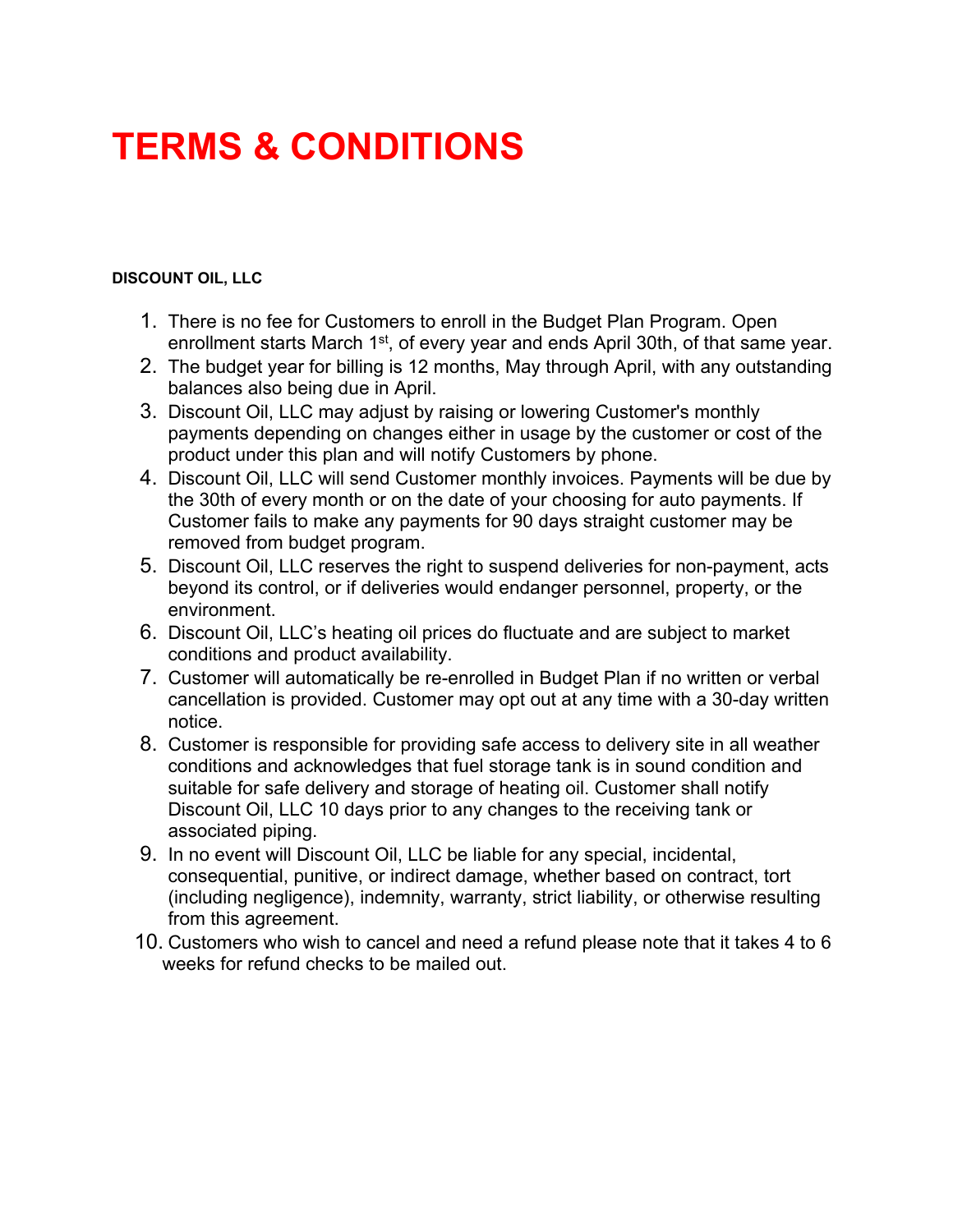## **TERMS & CONDITIONS**

## **DISCOUNT OIL, LLC**

- 1. There is no fee for Customers to enroll in the Budget Plan Program. Open enrollment starts March 1<sup>st</sup>, of every year and ends April 30th, of that same year.
- 2. The budget year for billing is 12 months, May through April, with any outstanding balances also being due in April.
- 3. Discount Oil, LLC may adjust by raising or lowering Customer's monthly payments depending on changes either in usage by the customer or cost of the product under this plan and will notify Customers by phone.
- 4. Discount Oil, LLC will send Customer monthly invoices. Payments will be due by the 30th of every month or on the date of your choosing for auto payments. If Customer fails to make any payments for 90 days straight customer may be removed from budget program.
- 5. Discount Oil, LLC reserves the right to suspend deliveries for non-payment, acts beyond its control, or if deliveries would endanger personnel, property, or the environment.
- 6. Discount Oil, LLC's heating oil prices do fluctuate and are subject to market conditions and product availability.
- 7. Customer will automatically be re-enrolled in Budget Plan if no written or verbal cancellation is provided. Customer may opt out at any time with a 30-day written notice.
- 8. Customer is responsible for providing safe access to delivery site in all weather conditions and acknowledges that fuel storage tank is in sound condition and suitable for safe delivery and storage of heating oil. Customer shall notify Discount Oil, LLC 10 days prior to any changes to the receiving tank or associated piping.
- 9. In no event will Discount Oil, LLC be liable for any special, incidental, consequential, punitive, or indirect damage, whether based on contract, tort (including negligence), indemnity, warranty, strict liability, or otherwise resulting from this agreement.
- 10. Customers who wish to cancel and need a refund please note that it takes 4 to 6 weeks for refund checks to be mailed out.